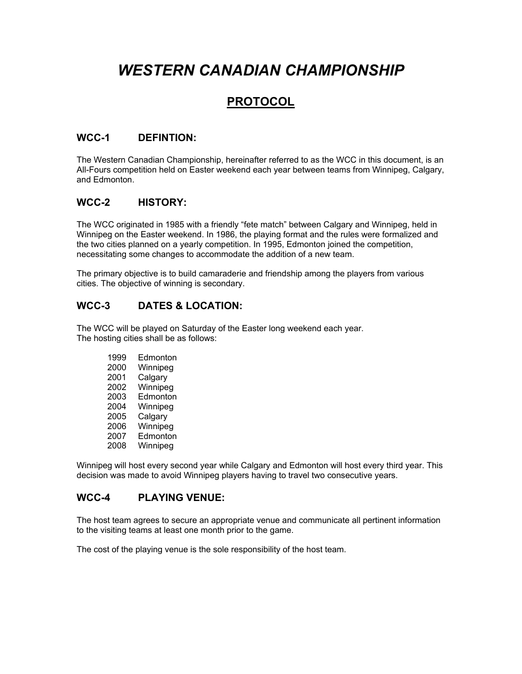# *WESTERN CANADIAN CHAMPIONSHIP*

## **PROTOCOL**

## **WCC-1 DEFINTION:**

The Western Canadian Championship, hereinafter referred to as the WCC in this document, is an All-Fours competition held on Easter weekend each year between teams from Winnipeg, Calgary, and Edmonton.

## **WCC-2 HISTORY:**

The WCC originated in 1985 with a friendly "fete match" between Calgary and Winnipeg, held in Winnipeg on the Easter weekend. In 1986, the playing format and the rules were formalized and the two cities planned on a yearly competition. In 1995, Edmonton joined the competition, necessitating some changes to accommodate the addition of a new team.

The primary objective is to build camaraderie and friendship among the players from various cities. The objective of winning is secondary.

## **WCC-3 DATES & LOCATION:**

The WCC will be played on Saturday of the Easter long weekend each year. The hosting cities shall be as follows:

| 1999 | Edmonton |
|------|----------|
| 2000 | Winnipeg |
| 2001 | Calgary  |
| 2002 | Winnipeg |
| 2003 | Edmonton |
| 2004 | Winnipeg |
| 2005 | Calgary  |
| 2006 | Winnipeg |
| 2007 | Edmonton |
| 2008 | Winnipeg |

Winnipeg will host every second year while Calgary and Edmonton will host every third year. This decision was made to avoid Winnipeg players having to travel two consecutive years.

## **WCC-4 PLAYING VENUE:**

The host team agrees to secure an appropriate venue and communicate all pertinent information to the visiting teams at least one month prior to the game.

The cost of the playing venue is the sole responsibility of the host team.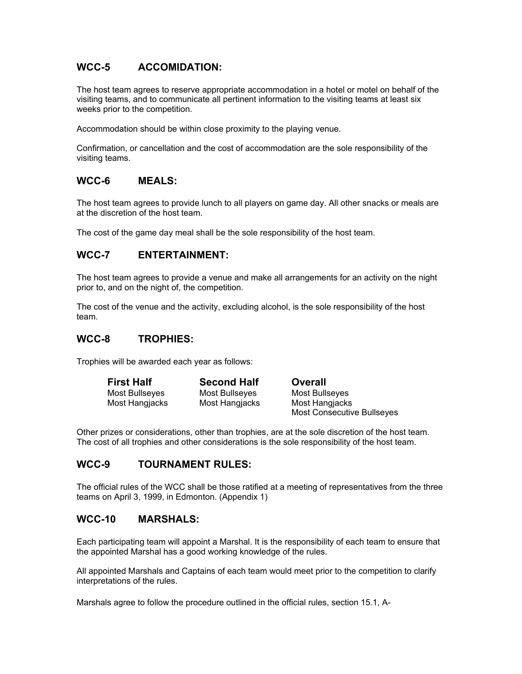## **WCC-5 ACCOMIDATION:**

The host team agrees to reserve appropriate accommodation in a hotel or motel on behalf of the visiting teams, and to communicate all pertinent information to the visiting teams at least six weeks prior to the competition.

Accommodation should be within close proximity to the playing venue.

Confirmation, or cancellation and the cost of accommodation are the sole responsibility of the visiting teams.

## **WCC-6 MEALS:**

The host team agrees to provide lunch to all players on game day. All other snacks or meals are at the discretion of the host team.

The cost of the game day meal shall be the sole responsibility of the host team.

#### **WCC-7 ENTERTAINMENT:**

The host team agrees to provide a venue and make all arrangements for an activity on the night prior to, and on the night of, the competition.

The cost of the venue and the activity, excluding alcohol, is the sole responsibility of the host team.

## **WCC-8 TROPHIES:**

Trophies will be awarded each year as follows:

| <b>First Half</b> | <b>Second Half</b> | Overall                           |
|-------------------|--------------------|-----------------------------------|
| Most Bullseyes    | Most Bullseyes     | Most Bullseyes                    |
| Most Hangjacks    | Most Hangiacks     | Most Hangjacks                    |
|                   |                    | <b>Most Consecutive Bullseyes</b> |

Other prizes or considerations, other than trophies, are at the sole discretion of the host team. The cost of all trophies and other considerations is the sole responsibility of the host team.

## **WCC-9 TOURNAMENT RULES:**

The official rules of the WCC shall be those ratified at a meeting of representatives from the three teams on April 3, 1999, in Edmonton. (Appendix 1)

## **WCC-10 MARSHALS:**

Each participating team will appoint a Marshal. It is the responsibility of each team to ensure that the appointed Marshal has a good working knowledge of the rules.

All appointed Marshals and Captains of each team would meet prior to the competition to clarify interpretations of the rules.

Marshals agree to follow the procedure outlined in the official rules, section 15.1, A-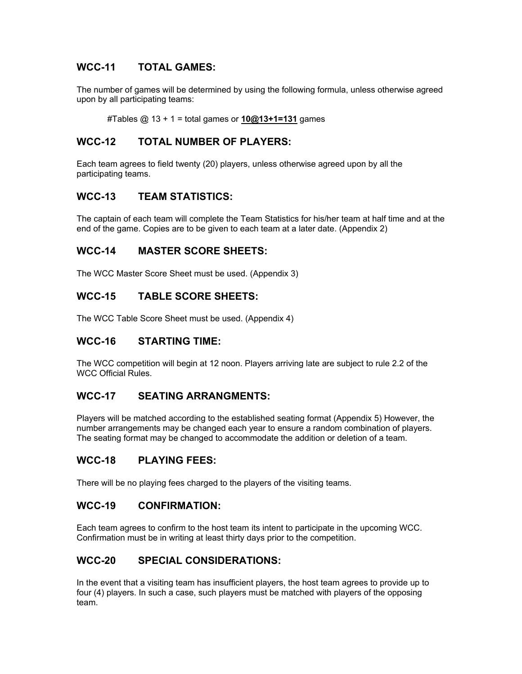## **WCC-11 TOTAL GAMES:**

The number of games will be determined by using the following formula, unless otherwise agreed upon by all participating teams:

#Tables @ 13 + 1 = total games or **10@13+1=131** games

## **WCC-12 TOTAL NUMBER OF PLAYERS:**

Each team agrees to field twenty (20) players, unless otherwise agreed upon by all the participating teams.

## **WCC-13 TEAM STATISTICS:**

The captain of each team will complete the Team Statistics for his/her team at half time and at the end of the game. Copies are to be given to each team at a later date. (Appendix 2)

#### **WCC-14 MASTER SCORE SHEETS:**

The WCC Master Score Sheet must be used. (Appendix 3)

#### **WCC-15 TABLE SCORE SHEETS:**

The WCC Table Score Sheet must be used. (Appendix 4)

#### **WCC-16 STARTING TIME:**

The WCC competition will begin at 12 noon. Players arriving late are subject to rule 2.2 of the WCC Official Rules.

#### **WCC-17 SEATING ARRANGMENTS:**

Players will be matched according to the established seating format (Appendix 5) However, the number arrangements may be changed each year to ensure a random combination of players. The seating format may be changed to accommodate the addition or deletion of a team.

#### **WCC-18 PLAYING FEES:**

There will be no playing fees charged to the players of the visiting teams.

#### **WCC-19 CONFIRMATION:**

Each team agrees to confirm to the host team its intent to participate in the upcoming WCC. Confirmation must be in writing at least thirty days prior to the competition.

## **WCC-20 SPECIAL CONSIDERATIONS:**

In the event that a visiting team has insufficient players, the host team agrees to provide up to four (4) players. In such a case, such players must be matched with players of the opposing team.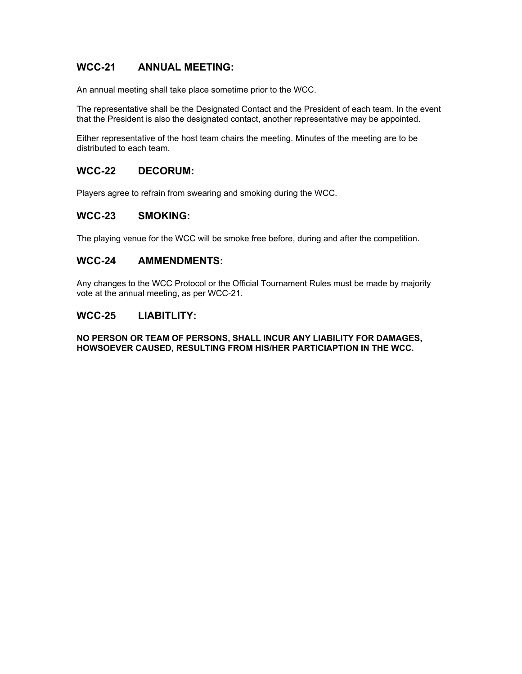## **WCC-21 ANNUAL MEETING:**

An annual meeting shall take place sometime prior to the WCC.

The representative shall be the Designated Contact and the President of each team. In the event that the President is also the designated contact, another representative may be appointed.

Either representative of the host team chairs the meeting. Minutes of the meeting are to be distributed to each team.

#### **WCC-22 DECORUM:**

Players agree to refrain from swearing and smoking during the WCC.

## **WCC-23 SMOKING:**

The playing venue for the WCC will be smoke free before, during and after the competition.

#### **WCC-24 AMMENDMENTS:**

Any changes to the WCC Protocol or the Official Tournament Rules must be made by majority vote at the annual meeting, as per WCC-21.

#### **WCC-25 LIABITLITY:**

**NO PERSON OR TEAM OF PERSONS, SHALL INCUR ANY LIABILITY FOR DAMAGES, HOWSOEVER CAUSED, RESULTING FROM HIS/HER PARTICIAPTION IN THE WCC.**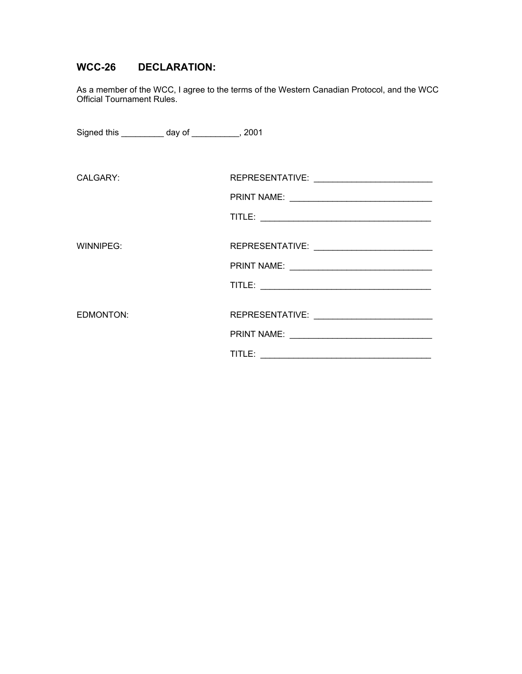## **WCC-26 DECLARATION:**

As a member of the WCC, I agree to the terms of the Western Canadian Protocol, and the WCC Official Tournament Rules.

| Signed this ____________ day of ____________, 2001 |  |
|----------------------------------------------------|--|
|                                                    |  |
| CALGARY:                                           |  |
|                                                    |  |
|                                                    |  |
|                                                    |  |
| WINNIPEG:                                          |  |
|                                                    |  |
|                                                    |  |
|                                                    |  |
| EDMONTON:                                          |  |
|                                                    |  |
|                                                    |  |